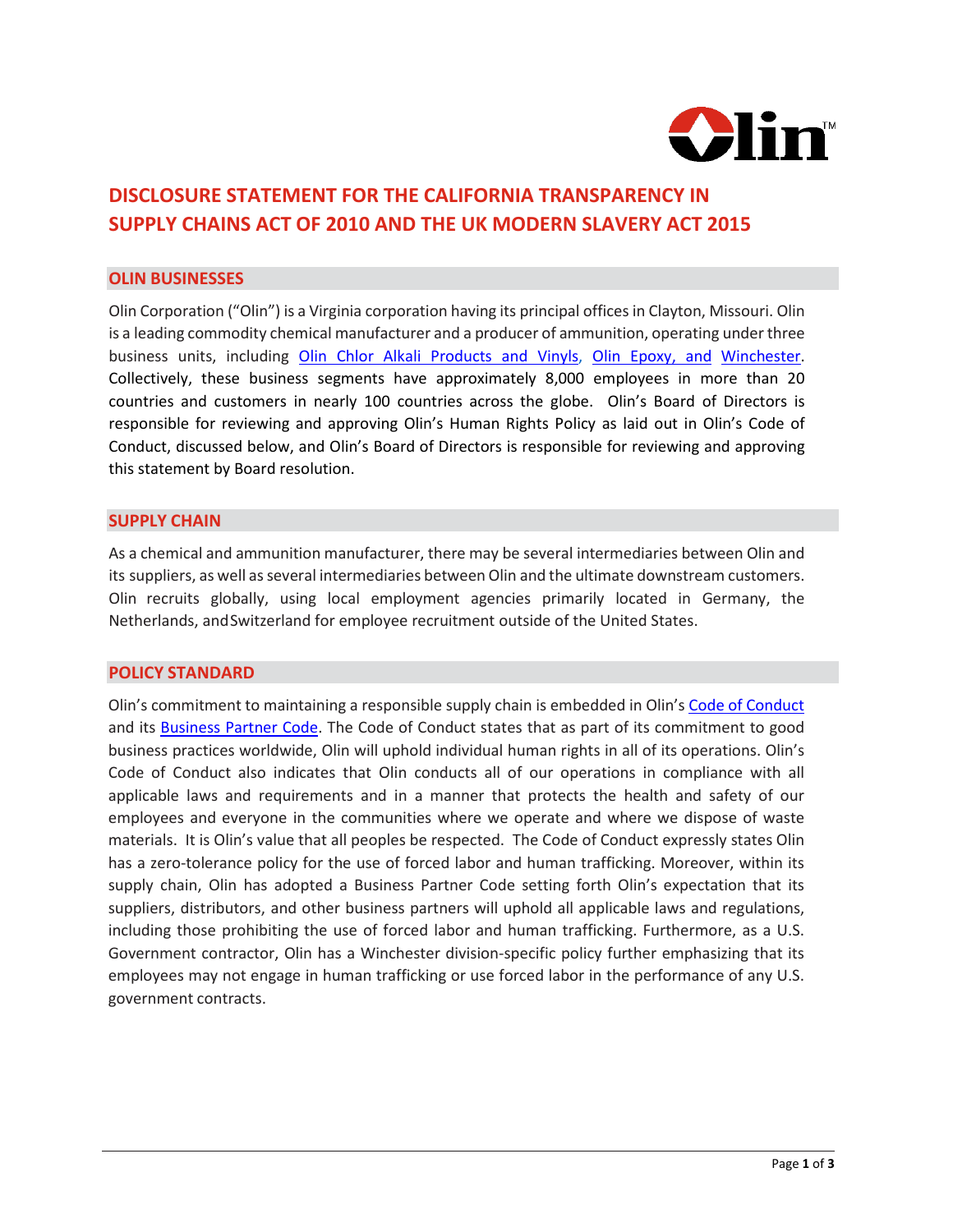

# **DISCLOSURE STATEMENT FOR THE CALIFORNIA TRANSPARENCY IN SUPPLY CHAINS ACT OF 2010 AND THE UK MODERN SLAVERY ACT 2015**

## **OLIN BUSINESSES**

Olin Corporation ("Olin") is a Virginia corporation having its principal offices in Clayton, Missouri. Olin is a leading commodity chemical manufacturer and a producer of ammunition, operating under three business units, including [Olin Chlor Alkali Products and Vinyls,](https://olinchloralkali.com/) [Olin Epoxy,](https://olinepoxy.com/) and [Winchester.](https://winchester.com/) Collectively, these business segments have approximately 8,000 employees in more than 20 countries and customers in nearly 100 countries across the globe. Olin's Board of Directors is responsible for reviewing and approving Olin's Human Rights Policy as laid out in Olin's Code of Conduct, discussed below, and Olin's Board of Directors is responsible for reviewing and approving this statement by Board resolution.

#### **SUPPLY CHAIN**

As a chemical and ammunition manufacturer, there may be several intermediaries between Olin and its suppliers, as well as several intermediaries between Olin and the ultimate downstream customers. Olin recruits globally, using local employment agencies primarily located in Germany, the Netherlands, andSwitzerland for employee recruitment outside of the United States.

# **POLICY STANDARD**

Olin's commitment to maintaining a responsible supply chain is embedded in Olin's [Code of Conduct](https://www.olin.com/olins-code-conduct/) and its [Business Partner Code.](https://www.olin.com/wp-content/uploads/Working-with-Olin.pdf) The Code of Conduct states that as part of its commitment to good business practices worldwide, Olin will uphold individual human rights in all of its operations. Olin's Code of Conduct also indicates that Olin conducts all of our operations in compliance with all applicable laws and requirements and in a manner that protects the health and safety of our employees and everyone in the communities where we operate and where we dispose of waste materials. It is Olin's value that all peoples be respected. The Code of Conduct expressly states Olin has a zero-tolerance policy for the use of forced labor and human trafficking. Moreover, within its supply chain, Olin has adopted a Business Partner Code setting forth Olin's expectation that its suppliers, distributors, and other business partners will uphold all applicable laws and regulations, including those prohibiting the use of forced labor and human trafficking. Furthermore, as a U.S. Government contractor, Olin has a Winchester division-specific policy further emphasizing that its employees may not engage in human trafficking or use forced labor in the performance of any U.S. government contracts.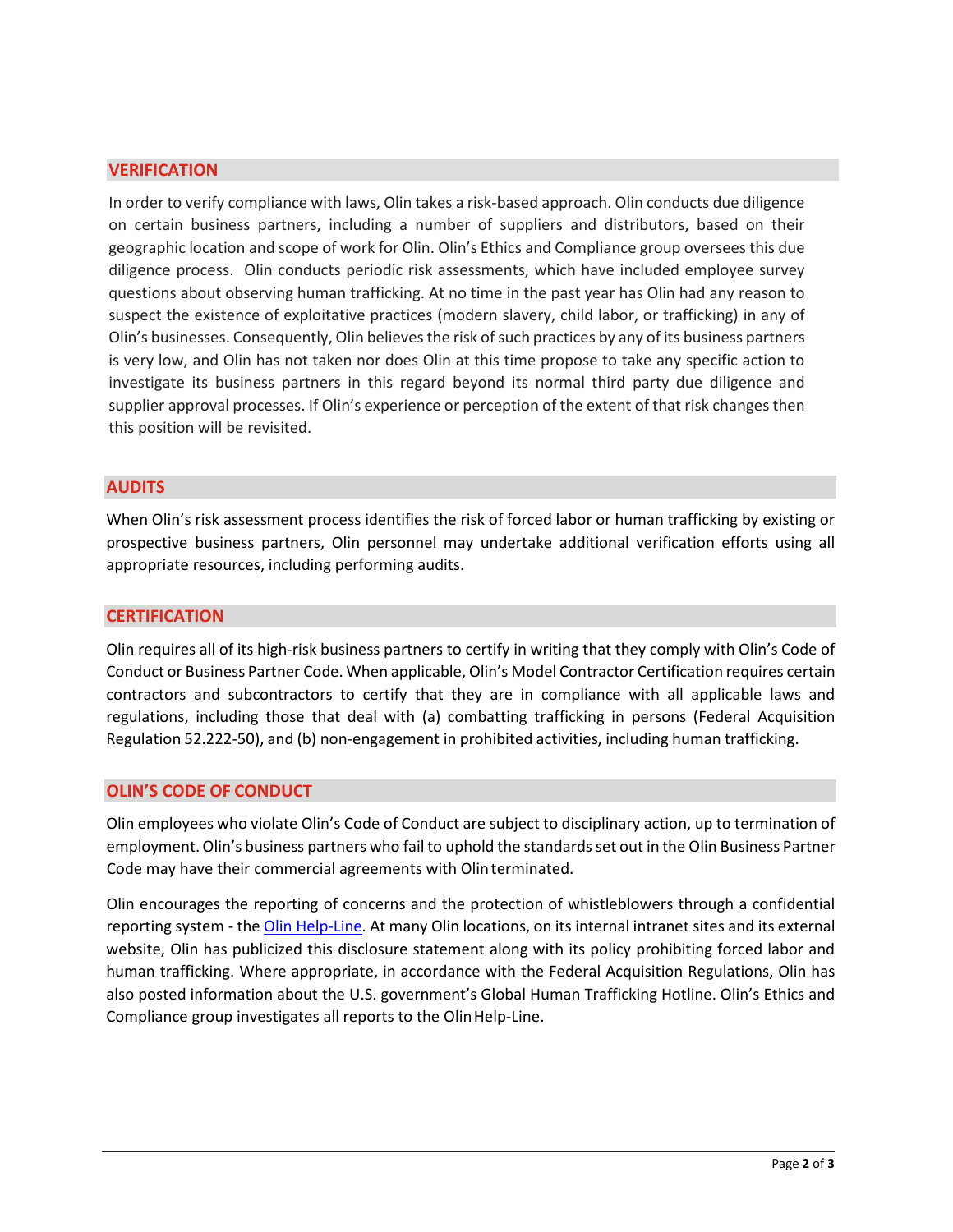# **VERIFICATION**

In order to verify compliance with laws, Olin takes a risk-based approach. Olin conducts due diligence on certain business partners, including a number of suppliers and distributors, based on their geographic location and scope of work for Olin. Olin's Ethics and Compliance group oversees this due diligence process. Olin conducts periodic risk assessments, which have included employee survey questions about observing human trafficking. At no time in the past year has Olin had any reason to suspect the existence of exploitative practices (modern slavery, child labor, or trafficking) in any of Olin's businesses. Consequently, Olin believesthe risk of such practices by any of its business partners is very low, and Olin has not taken nor does Olin at this time propose to take any specific action to investigate its business partners in this regard beyond its normal third party due diligence and supplier approval processes. If Olin's experience or perception of the extent of that risk changes then this position will be revisited.

# **AUDITS**

When Olin's risk assessment process identifies the risk of forced labor or human trafficking by existing or prospective business partners, Olin personnel may undertake additional verification efforts using all appropriate resources, including performing audits.

## **CERTIFICATION**

Olin requires all of its high-risk business partners to certify in writing that they comply with Olin's Code of Conduct or Business Partner Code. When applicable, Olin's Model Contractor Certification requires certain contractors and subcontractors to certify that they are in compliance with all applicable laws and regulations, including those that deal with (a) combatting trafficking in persons (Federal Acquisition Regulation 52.222-50), and (b) non-engagement in prohibited activities, including human trafficking.

## **OLIN'S CODE OF CONDUCT**

Olin employees who violate Olin's Code of Conduct are subject to disciplinary action, up to termination of employment.Olin's business partners who fail to uphold the standardsset out in the Olin Business Partner Code may have their commercial agreements with Olinterminated.

Olin encourages the reporting of concerns and the protection of whistleblowers through a confidential reporting system - the [Olin Help-Line.](http://www.olinhelp.com/) At many Olin locations, on its internal intranet sites and its external website, Olin has publicized this disclosure statement along with its policy prohibiting forced labor and human trafficking. Where appropriate, in accordance with the Federal Acquisition Regulations, Olin has also posted information about the U.S. government's Global Human Trafficking Hotline. Olin's Ethics and Compliance group investigates all reports to the Olin Help-Line.